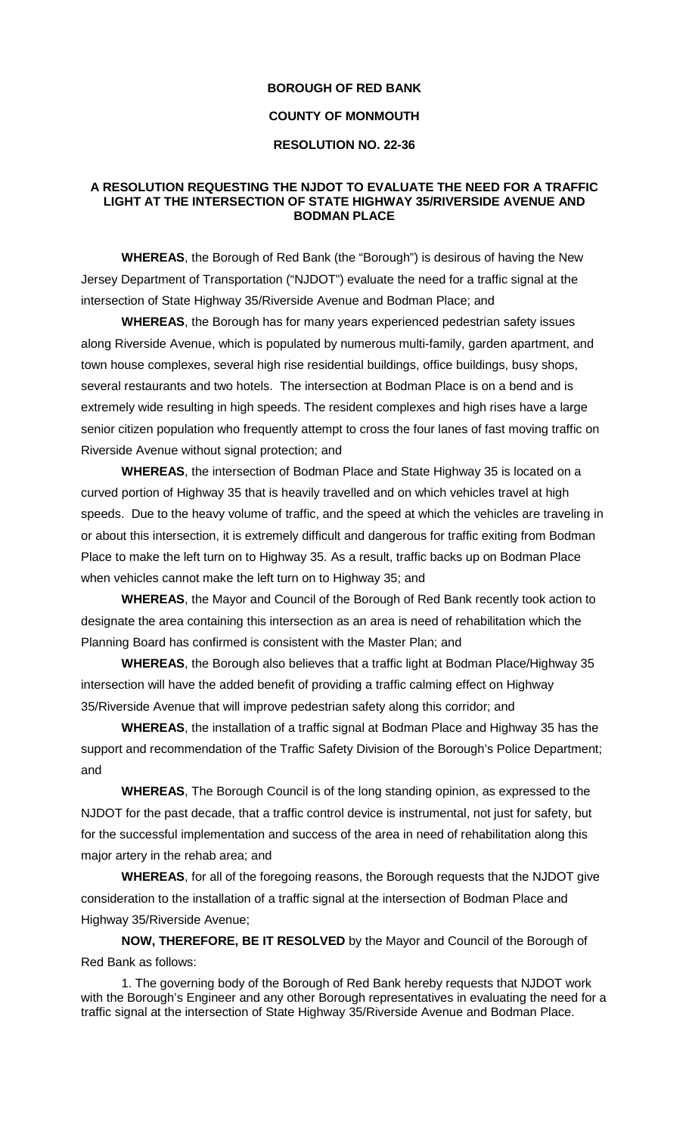## **BOROUGH OF RED BANK COUNTY OF MONMOUTH**

## **RESOLUTION NO. 22-36**

## **A RESOLUTION REQUESTING THE NJDOT TO EVALUATE THE NEED FOR A TRAFFIC LIGHT AT THE INTERSECTION OF STATE HIGHWAY 35/RIVERSIDE AVENUE AND BODMAN PLACE**

**WHEREAS**, the Borough of Red Bank (the "Borough") is desirous of having the New Jersey Department of Transportation ("NJDOT") evaluate the need for a traffic signal at the intersection of State Highway 35/Riverside Avenue and Bodman Place; and

**WHEREAS**, the Borough has for many years experienced pedestrian safety issues along Riverside Avenue, which is populated by numerous multi-family, garden apartment, and town house complexes, several high rise residential buildings, office buildings, busy shops, several restaurants and two hotels. The intersection at Bodman Place is on a bend and is extremely wide resulting in high speeds. The resident complexes and high rises have a large senior citizen population who frequently attempt to cross the four lanes of fast moving traffic on Riverside Avenue without signal protection; and

**WHEREAS**, the intersection of Bodman Place and State Highway 35 is located on a curved portion of Highway 35 that is heavily travelled and on which vehicles travel at high speeds. Due to the heavy volume of traffic, and the speed at which the vehicles are traveling in or about this intersection, it is extremely difficult and dangerous for traffic exiting from Bodman Place to make the left turn on to Highway 35. As a result, traffic backs up on Bodman Place when vehicles cannot make the left turn on to Highway 35; and

**WHEREAS**, the Mayor and Council of the Borough of Red Bank recently took action to designate the area containing this intersection as an area is need of rehabilitation which the Planning Board has confirmed is consistent with the Master Plan; and

**WHEREAS**, the Borough also believes that a traffic light at Bodman Place/Highway 35 intersection will have the added benefit of providing a traffic calming effect on Highway 35/Riverside Avenue that will improve pedestrian safety along this corridor; and

**WHEREAS**, the installation of a traffic signal at Bodman Place and Highway 35 has the support and recommendation of the Traffic Safety Division of the Borough's Police Department; and

**WHEREAS**, The Borough Council is of the long standing opinion, as expressed to the NJDOT for the past decade, that a traffic control device is instrumental, not just for safety, but for the successful implementation and success of the area in need of rehabilitation along this major artery in the rehab area; and

**WHEREAS**, for all of the foregoing reasons, the Borough requests that the NJDOT give consideration to the installation of a traffic signal at the intersection of Bodman Place and Highway 35/Riverside Avenue;

**NOW, THEREFORE, BE IT RESOLVED** by the Mayor and Council of the Borough of Red Bank as follows:

1. The governing body of the Borough of Red Bank hereby requests that NJDOT work with the Borough's Engineer and any other Borough representatives in evaluating the need for a traffic signal at the intersection of State Highway 35/Riverside Avenue and Bodman Place.